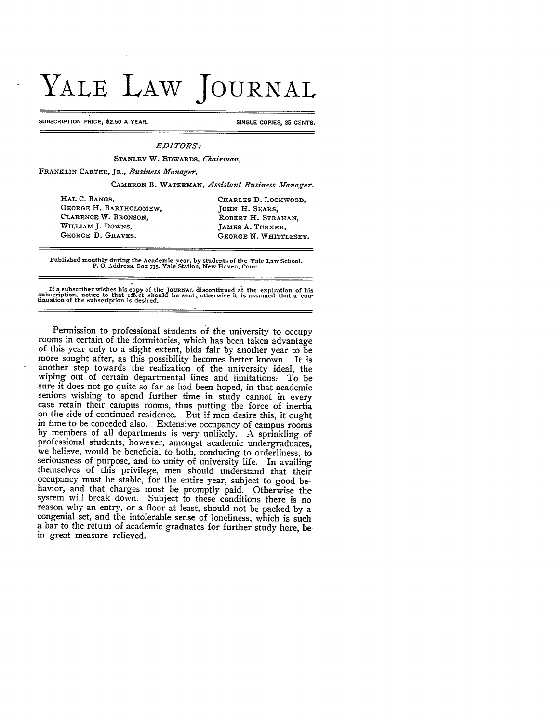# YALE LAW **JOURNAL**

**SUBSCRIPTION PRICE, \$2.50 A YEAR.** SUBSCRIPTION PRICE, \$2.50 A YEAR.

*EDITORS:* **STANLEY** W. **EDWARDS,** *Chairman,*

**FRANKLIN CARTER,** JR., *Business Manager,*

CAMERON B. WATERMAN, Assistant Business Manager.

| HAL C. BANGS.          |
|------------------------|
| GEORGE H. BARTHOLOMEW, |
| CLARENCE W. BRONSON.   |
| WILLIAM J. DOWNS,      |
| GEORGE D. GRAVES.      |

CHARLES D. LOCKWOOD, **GEORGE H. BARTHOLOMEW, JOHN** H. **SEARS, CLARENCE** W. **BRONSON, ROBERT** H. **STRAHAN,** JAMES A. TURNER, GEORGE N. WHITTLESEY.

**Published monthly** during **the Academic year. by students** of **the** Yale **Law School. P. O.** Address, **Box 735. Yale Station, New** Haven, **Conn.**

If a subscriber wishes his copy of the JOURNAL discontinued at the expiration of his subscription, notice to that effect should be sent; otherwise it is assumed that a continuation of the subscription is desired.

Permission to professional students of the university to occupy rooms in certain of the dormitories, which has been taken advantage of this year only to a slight extent, bids fair **by** another year to be more sought after, as this possibility becomes better known. It is another step towards the realization of the university ideal, the wiping out of certain departmental lines and limitations: To be sure it does not go quite so far as had been hoped, in that academic seniors wishing to spend further time in study cannot in every case retain their campus rooms, thus putting the force of inertia on the side of continued residence. But if men desire this, it ought in time to be conceded also. Extensive occupancy of campus rooms in time to be conceded also. Extensive occupancy of campus rooms<br>by members of all departments is very unlikely. A sprinkling of professional students, however, amongst academic undergraduates, we believe, would be beneficial to both, conducing to orderliness, to seriousness of purpose, and to unity of university life. In availing themselves of this privilege, men should understand that their occupancy must be stable, for the entire year, subject to good behavior, and that charges must be promptly paid. Otherwise the system will break down. Subject to these conditions there is no reason why an entry, or a floor at least, should not be packed **by** a congenial set, and the intolerable sense of loneliness, which is such a bar to the return of academic graduates for further study here, bein great measure relieved.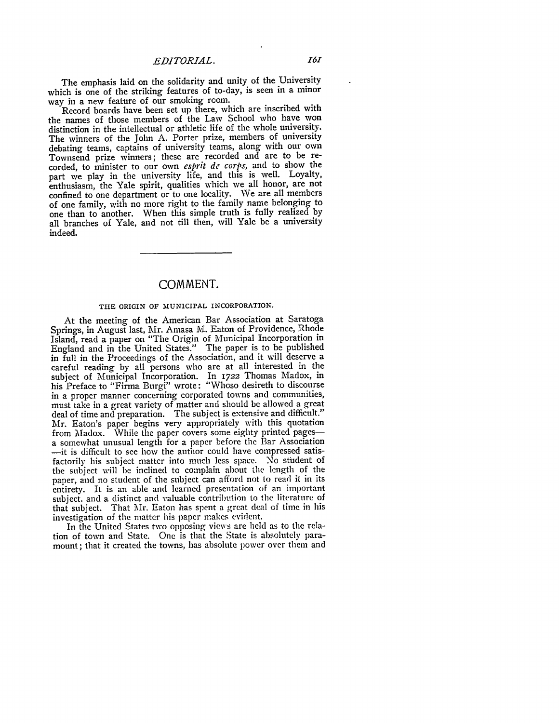The emphasis laid on the solidarity and unity of the University which is one of the striking features of to-day, is seen in a minor way in a new feature of our smoking room.

Record boards have been set up there, which are inscribed with the names of those members of the **Law** School who have won distinction in the intellectual or athletic life of the whole university. The winners of the John **A.** Porter prize, members of university debating teams, captains of university teams, along with our own Townsend prize winners; these are recorded and are to be recorded, to minister to our own *esprit de corps,* and to show the part we play in the university life, and this is well. Loyalty, enthusiasm, the Yale spirit, qualities which we all honor, are not confined to one department or to one locality. We are all members of one family, with no more right to the family name belonging to one than to another. When this simple truth is fully realized **by** all branches of Yale, and not till then, will Yale be a university indeed.

# **COMMENT.**

## **THE** ORIGIN OF MUNICIPAL INCORPORATION.

At the meeting of the American Bar Association at Saratoga Springs, in August last, Mr. Amasa M. Eaton of Providence, Rhode Island, read a paper on "The Origin of Municipal Incorporation in England and in the United States." The paper is to be published in full in the Proceedings of the Association, and it will deserve a careful reading by all persons who are at all interested in the subject of Municipal Incorporation. In *1722* Thomas Madox, in his Preface to "Firma Burgi" wrote: "Whoso desireth to discourse in a proper manner concerning corporated towns and communities, must take in a great variety of matter and should **be** allowed a great deal of time and preparation. The subject is extensive and difficult." Mr. Eaton's paper begins very appropriately with this quotation from Madox. While the paper covers some eighty printed pagesa somewhat unusual length for a paper before the Bar Association --- it is difficult to see how the author could have compressed satisfactorily his subject matter into much less space. No student of the subject will **be** inclined to complain about the length of the paper, and no student of the subject can afford not to read it in its entirety. It is an able and learned presentation of an important subject. and a distinct and valuable contribution to the literature of that subject. That Mr. Eaton has spent a great deal **of** time in his investigation of the matter his paper makes evident.

In the United States two opposing views are held as to the relation of town and State. One is that the State is absolutely paramount; that it created the towns, has absolute power over them and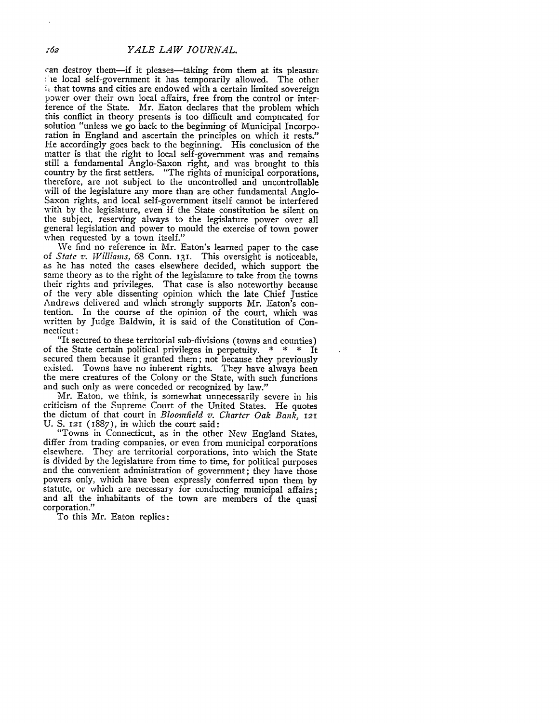can destroy them-if it pleases-taking from them at its pleasure ie local self-government it has temporarily allowed. The other *i..* that towns and cities are endowed with a certain limited sovereign power over their own local affairs, free from the control or interference of the State. Mr. Eaton declares that the problem which this conflict in theory presents is too difficult and complicated for solution "unless we go back to the beginning of Municipal Incorporation in England and ascertain the principles on which it rests." He accordingly goes back to the beginning. His conclusion of the matter is that the right to local self-government was and remains still a fundamental Anglo-Saxon right, and was brought to this country by the first settlers. "The rights of municipal corporations, therefore, are not subject to the uncontrolled and uncontrollable will of the legislature any more than are other fundamental Anglo-Saxon rights, and local self-government itself cannot be interfered with by the legislature, even if the State constitution be silent on the subject, reserving always to the legislature power over all general legislation and power to mould the exercise of town power when requested by a town itself."

We find no reference in Mr. Eaton's learned paper to the case of *State v. Williams,* 68 Conn. 131. This oversight is noticeable, as he has noted the cases elsewhere decided, which support the same theory as to the right of the legislature to take from the towns their rights and privileges. That case is also noteworthy because of the very able dissenting opinion which the late Chief Justice Andrews delivered and which strongly supports Mr. Eaton's contention. In the course of the opinion of the court, which was written by Judge Baldwin, it is said of the Constitution of Connecticut:

"It secured to these territorial sub-divisions (towns and counties) of the State certain political privileges in perpetuity. **\* \* \*** It secured them because it granted them; not because they previously existed. Towns have no inherent rights. They have always been the mere creatures of the Colony or the State, with such functions and such only as were conceded or recognized by law."

Mr. Eaton, we think, is somewhat unnecessarily severe in his criticism of the Supreme Court of the United States. He quotes the dictum of that court in *Bloom field v. Chartcr Oak Bank,* **<sup>121</sup>** U. **S.** 121 (1887), in which the court said:

"Towns in Connecticut, as in the other New England States, differ from trading companies, or even from municipal corporations elsewhere. They are territorial corporations, into which the State is divided by the legislature from time to time, for political purposes and the convenient administration of government; they have those powers only, which have been expressly conferred upon them by statute, or which are necessary for conducting municipal affairs; and all the inhabitants of the town are members of the quasi corporation."

To this Mr. Eaton replies:

562ء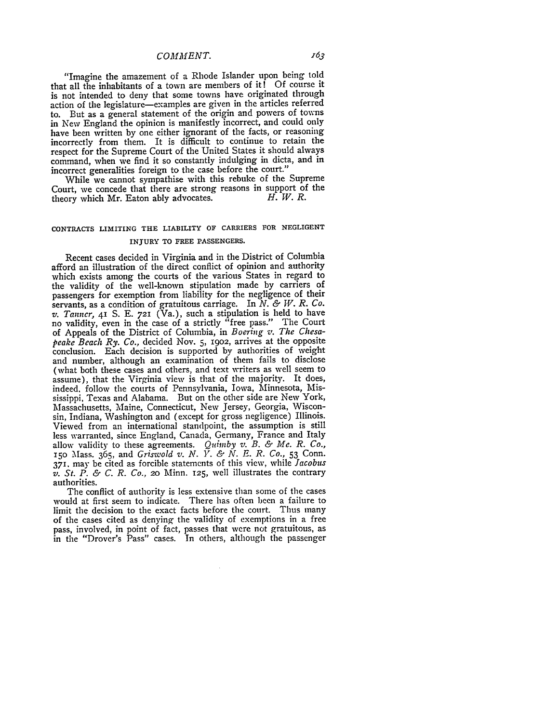## *COMMENT.*

"Imagine the amazement of a Rhode Islander upon being told that all the inhabitants of a town are members of it! **Of** course it is not intended to deny that some towns have originated through action of the legislature-examples are given in the articles referred to. But as a general statement of the origin and powers of towns in New England the opinion is manifestly incorrect, and could only have been written **by** one either ignorant of the facts, or reasoning incorrectly from them. It is difficult to continue to retain the respect for the Supreme Court of the United States it should always command, when we find it so constantly indulging in dicta, and in incorrect generalities foreign to the case before the court.'

While we cannot sympathise with this rebuke of the Supreme Court, we concede that there are strong reasons in support of the theory which Mr. Eaton ably advocates.  $H, W, R$ . theory which Mr. Eaton ably advocates.

# **CONTRACTS** LIMITING **THE** LIABILITY OF CARRIERS **FOR NEGLIGENT** INJURY **TO FREE PASSENGERS.**

Recent cases decided in Virginia and in the District of Columbia afford an illustration of the direct conflict of opinion and authority which exists among the courts of the various States in regard to the validity of the well-known stipulation made **by** carriers of passengers for exemption from liability for the negligence of their servants, as a condition of gratuitous carriage. In N. *& W. R. Co. v. Tanncr,* **41 S. E.** *721* (Va.), such a stipulation is held to have no validity, even in the case of a strictly "free pass." The Court of Appeals of the District of Columbia, in *Boering* **z.** *The Chesapeake Beach Ry. Co.,* decided Nov. 5, **1902,** arrives at the opposite conclusion. Each decision is supported **by** authorities of weight and number, although an examination of them fails to disclose (what both these cases and others, and text writers as well seem to assume), that the Virginia view is that of the majority. It does, indeed, follow the courts of Pennsylvania, Iowa, Minnesota, Mississippi, Texas and Alabama. But on the other side are New York, Massachusetts, Maine, Connecticut, New Jersey, Georgia, Wisconsin, Indiana, Washington and (except for gross negligence) Illinois. Viewed from an international standpoint, the assumption is still less warranted, since England, Canada, Germany, France and Italy allow validity to these agreements. *Quimby v. B. & Me. R. Co.,* **150** Mass. 365, and *Griswold* v. **N. 1. &** *N.* **E.** *R. Co.,* **53** Conn. **371.** may be cited as forcible statements of this view, while *Jacobus v. St. P. & C. R. Co.,* 20 Minn. 125, well illustrates the contrary authorities.

The conflict of authority is less extensive than some of the cases would at first seem to indicate. There has often been a failure to limit the decision to the exact facts before the court. Thus many of the cases cited as denying the validity of exemptions in a free pass, involved, in point of fact, passes that were not gratuitous, as in the "Drover's Pass" cases. In others, although the passenger

 $\sim$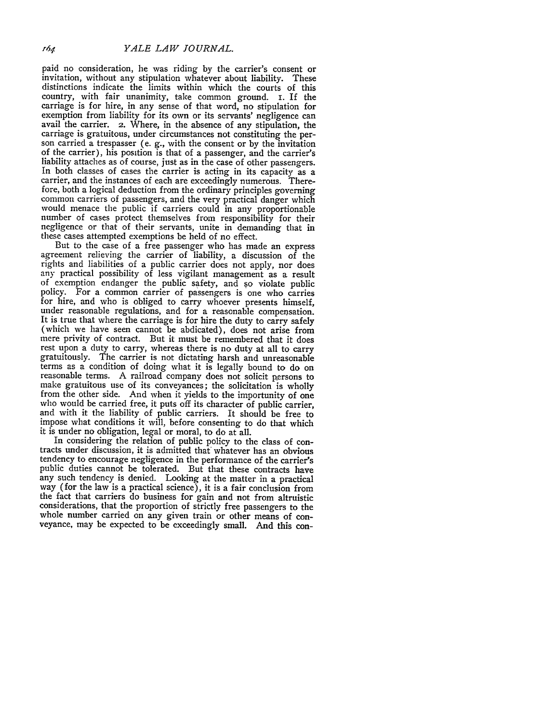paid no consideration, he was riding by the carrier's consent or invitation, without any stipulation whatever about liability. These distinctions indicate the limits within which the courts of this country, with fair unanimity, take common ground. i. If the carriage is for hire, in any sense of that word, no stipulation for exemption from liability for its own or its servants' negligence can avail the carrier. 2. Where, in the absence of any stipulation, the carriage is gratuitous, under circumstances not constituting the person carried a trespasser (e. g., with the consent or by the invitation of the carrier), his position is that of a passenger, and the carrier's liability attaches as of course, just as in the case of other passengers. In both classes of cases the carrier is acting in its capacity as a carrier, and the instances of each are exceedingly numerous. Therefore, both a logical deduction from the ordinary principles governing common carriers of passengers, and the very practical danger which would menace the public if carriers could in any proportionable number of cases protect themselves from responsibility for their negligence or that of their servants, unite in demanding that in these cases attempted exemptions be held of no effect.

But to the case of a free passenger who has made an express agreement relieving the carrier of liability, a discussion of the rights and liabilities of a public carrier does not apply, nor does any practical possibility of less vigilant management as a result of exemption endanger the public safety, and so violate public policy. For a common carrier of passengers is one who carries for hire, and who is obliged to carry whoever presents himself, under reasonable regulations, and for a reasonable compensation.<br>It is true that where the carriage is for hire the duty to carry safely (which we have seen cannot be abdicated), does not arise from mere privity of contract. But it must be remembered that it does rest upon a duty to carry, whereas there is no duty at all to carry gratuitously. The carrier is not dictating harsh and unreasonable terms as a condition of doing what it is legally bound to do on reasonable terms. A railroad company does not solicit persons to make gratuitous use of its conveyances; the solicitation is wholly from the other side. And when it yields to the importunity of one who would be carried free, it puts off its character of public carrier, and with it the liability of public carriers. It should be free to impose what conditions it will, before consenting to do that which it is under no obligation, legal or moral, to do at all.

In considering the relation of public policy to the class of contracts under discussion, it is admitted that whatever has an obvious tendency to encourage negligence in the performance of the carrier's public duties cannot be tolerated. But that these contracts have any such tendency is denied. Looking at the matter in a practical way (for the law is a practical science), it is a fair conclusion from the fact that carriers do business for gain and not from altruistic considerations, that the proportion of strictly free passengers to the whole number carried on any given train or other means of conveyance, may be expected to be exceedingly small. And this con-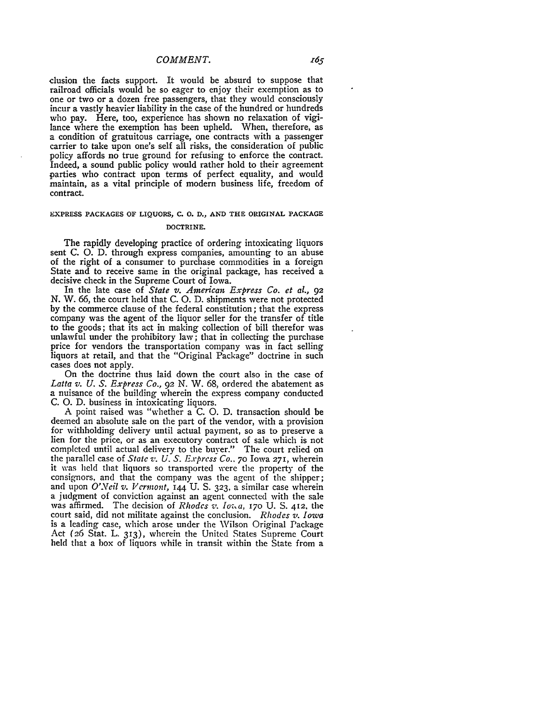#### *COMMENT.*

clusion the facts support. It would be absurd to suppose that railroad officials would be so eager to enjoy their exemption as to one or two or a dozen free passengers, that they would consciously incur a vastly heavier liability in the case of the hundred or hundreds who pay. Here, too, experience has shown no relaxation of vigilance where the exemption has been upheld. When, therefore, as a condition of gratuitous carriage, one contracts with a passenger carrier to take upon one's self all risks, the consideration of public policy affords no true ground for refusing to enforce the contract. Indeed, a sound public policy would rather hold to their agreement parties who contract upon terms of perfect equality, and would maintain, as a vital principle of modern business life, freedom of contract.

## EXPRESS **PACKAGES** OF LIQUORS, **C. 0. D., AND** THE ORIGINAL **PACKAGE** DOCTRINE.

The rapidly developing practice of ordering intoxicating liquors sent C. **0.** D. through express companies, amounting to an abuse of the right of a consumer to purchase commodities in a foreign State and to receive same in the original package, has received a decisive check in the Supreme Court of Iowa.

In the late case of *State v. American Express Co. et al.,* 92 **N.** W. 66, the court held that **C. 0. D.** shipments were not protected **by** the commerce clause of the federal constitution; that the express company was the agent of the liquor seller for the transfer of title to the goods; that its act in making collection of bill therefor was unlawful under the prohibitory law; that in collecting the purchase price for vendors the transportation company was in fact selling liquors at retail, and that the "Original Package" doctrine in such cases does not apply.

On the doctrine thus laid down the court also in the case of *Latta v. U. S. Express Co.,* 92 **N.** W. 68, ordered the abatement as a nuisance of the building wherein the express company conducted **C. 0. D.** business in intoxicating liquors.

A point raised was "whether a **C. 0. D.** transaction should be deemed an absolute sale on the part of the vendor, with a provision for withholding delivery until actual payment, so as to preserve a lien for the price, or as an executory contract of sale which is not completed until actual delivery to the buyer." The court relied on the parallel case of *State v. U. S. Ex'press Co..* **70** Iowa 271, wherein it was held that liquors so transported were the property of the consignors, and that the company was the agent of the shipper and upon O'Neil *v. Vermont,* **144 U.** S. **323,** a similar case wherein a judgment of conviction against an agent connected with the sale was affirmed. The decision of *Rhodes v. Ioza,* **170 U. S.** 412. the court said, did not militate against the conclusion. *Rhodes v. Iowa* is a leading case, which arose under the Wilson Original Package Act (26 Stat. L. 313), wherein the United States Supreme Court held that a box of liquors while in transit within the State from a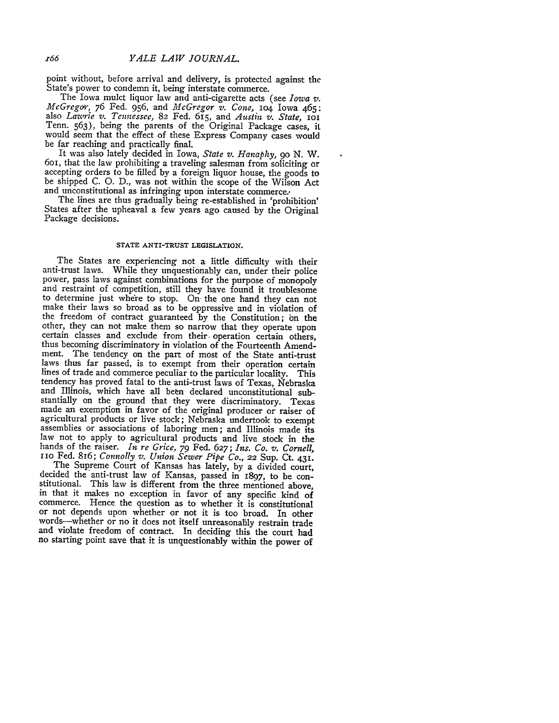point without, before arrival and delivery, is protected against the State's power to condemn it, being interstate commerce.

The Iowa mulct liquor law and anti-cigarette acts (see *Iowa v. McGrego r, 76* Fed. 956, and *McGregor v. Cone,* **io4** Iowa 465; also *Lazrie v. Tennessee,* 82 Fed. **615,** and *Austin v. State, IOI* Tenn. 563), being the parents of the Original Package cases, it would seem that the effect of these Express Company cases would be far reaching and practically final.

It was also lately decided in Iowa, *State v. Hanaphy, 90 N.* W. 6oi, that the law prohibiting a traveling salesman from soliciting or accepting orders to be filled by a foreign liquor house, the goods to be shipped C. **0.** D., was not within the scope of the Wilson Act and unconstitutional as infringing upon interstate commerce.<br>The lines are thus gradually being re-established in 'prohibition'

States after the upheaval a few years ago caused by the Original Package decisions.

## **STATE** ANTI-TRUST LEGISLATION.

The States are experiencing not a little difficulty with their anti-trust laws. While they unquestionably can, under their police power, pass laws against combinations for the purpose of monopoly and restraint of competition, still they have found it troublesome to determine just where to stop. On the one hand they can not make their laws so broad as to be oppressive and in violation of the freedom of contract guaranteed **by** the Constitution; bn the certain classes and exclude from their operation certain others, thus becoming discriminatory in violation of the Fourteenth Amendment. The tendency on the part of most of the State anti-trust laws thus far passed, is to exempt from their operation certain lines of trade and commerce peculiar to the particular locality. This tendency has proved fatal to the anti-trust laws of Texas, Nebraska and Illinois, which have all been declared unconstitutional substantially on the ground that they were discriminatory. Texas made an exemption in favor of the original producer or raiser of agricultural products or live stock; Nebraska undertook to exempt assemblies or associations of laboring men; and Illinois made its assemblies or associations of laboring men; and Illinois made its law not to apply to agricultural products and live stock in the hands of the raiser. *In re Grice, 79* Fed. 627; *Ins. Co. v. Cornell,* iiO Fed. 816; *Connolly v. Union Sewer Pipe Co.,* 22 Sup. Ct. 431.

The Supreme Court of Kansas has lately, by a divided court, decided the anti-trust law of Kansas, passed in 1897, to be constitutional. This law is different from the three mentioned above, in that it makes no exception in favor of any specific kind of commerce. Hence the question as to whether it is constitutional or not depends upon whether or not it is too broad. In other words-whether or no it does not itself unreasonably restrain trade and violate freedom of contract. In deciding this the court had no starting point save that it is unquestionably within the power of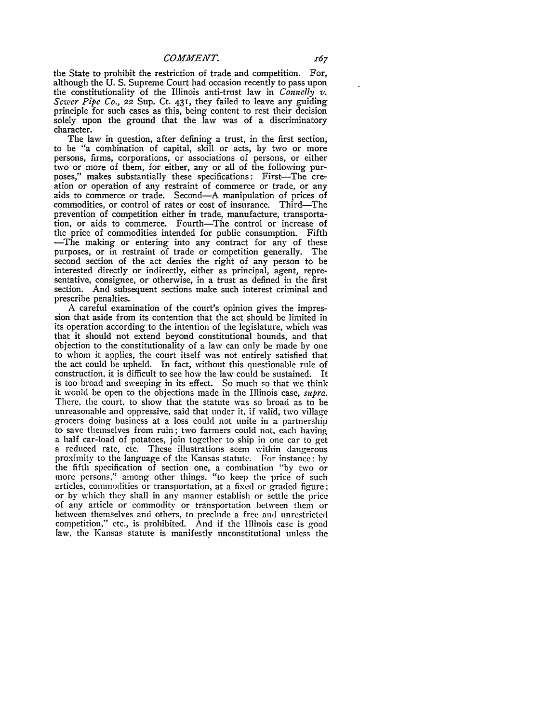the State to prohibit the restriction of trade and competition. For, although the U. S. Supreme Court had occasion recently to pass upon the constitutionality of the Illinois anti-trust law in *Connelly v. Scwer Pipe Co.,* 22 Sup. Ct. 431, they failed to leave any guiding principle for such cases as this, being content to rest their decision solely upon the ground that the law was of a discriminatory character.

The law in question, after defining a trust, in the first section, to be "a combination of capital, skill or acts, **by** two or more persons, firms, corporations, or associations of persons, or either two or more of them, for either, any or all of the following purposes," makes substantially these specifications: First-The creation or operation of any restraint of commerce or trade, or any aids to commerce or trade. Second-A manipulation of prices of commodities, or control of rates or cost of insurance. Third-The prevention of competition either in trade, manufacture, transportation, or aids to commerce. Fourth-The control or increase of the price of commodities intended for public consumption. Fifth -The making or entering into any contract for any of these purposes, or in restraint of trade or competition generally. The second section of the act denies the right of any person to be interested directly or indirectly, either as principal, agent, representative, consignee, or otherwise, in a trust as defined in the first section. And subsequent sections make such interest criminal and prescribe penalties.

A careful examination of the court's opinion gives the impression that aside from its contention that the act should be limited in its operation according to the intention of the legislature, which was that it should not extend beyond constitutional bounds, and that objection to the constitutionality of a law can only be made by one to whom it applies, the court itself was not entirely satisfied that the act could be upheld. In fact, without this questionable rule of construction, it is difficult to see how the law could be sustained. It is too broad and sweeping in its effect. So much so that we think it would be open to the objections made in the Illinois case, *su pra.* There, the court, to show that the statute was so broad as to be unreasonable and oppressive, said that under *it,* if valid, two village grocers doing business at a loss could not unite in a partnership to save themselves from ruin; two farmers could not, each having a half car-load of potatoes, join together to ship in one car to get a reduced rate, etc. These illustrations seem within dangerous proximity to the language of the Kansas statute. For instance: **by** the fifth specification of section one, a combination **"by** two or more persons," among other things, "to **keep** the price of such articles, commodities or transportation, at a fixed or graded figure; or **by** which they shall in **any** manner establish or settle the price of **any** article or conimodity or transportation between them or between themselves and others, to preclude a free and unrestricted competition," etc., is prohibited. And if the Illinois case is good law, the Kansas statute is manifestly unconstitutional unless the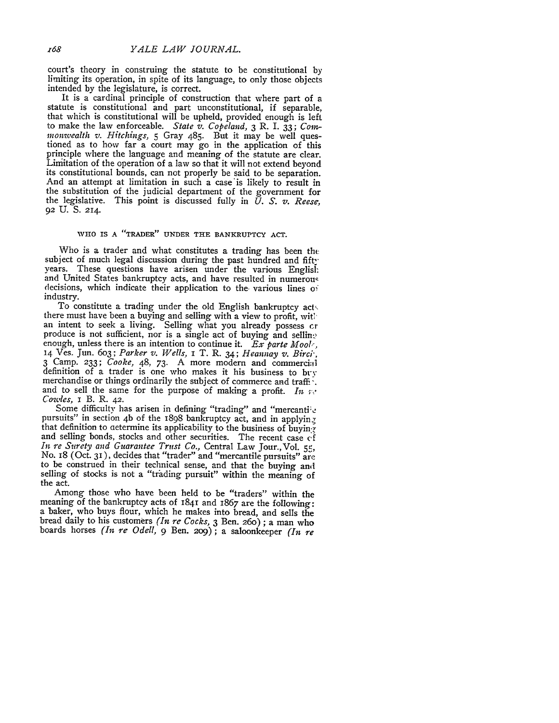court's theory in construing the statute to be constitutional by limiting its operation, in spite of its language, to only those objects intended by the legislature, is correct.

It is a cardinal principle of construction that where part of a statute is constitutional and part unconstitutional, if separable, that which is constitutional will be upheld, provided enough is left to make the law enforceable. *State v. Copeland,* 3 R. I. 33; *CoMr inonwealth v. Hitchings,* 5 Gray 485. But it may be well ques- tioned as to how far a court may go in the application of this principle where the language and meaning of the statute are clear. Limitation of the operation of a law so that it will not extend beyond its constitutional bounds, can not properly be said to be separation. And an attempt at limitation in such a case is likely to result in the substitution of the judicial department of the government for the legislative. This point is discussed fully in  $\tilde{U}$ . S. v. Reese, 92 U. **S.** 214.

## **WHO IS A** "TRADER" **UNDER THE** BANKRUPTCY **ACT.**

Who is a trader and what constitutes a trading has been the subject of much legal discussion during the past hundred and fiftyyears. These questions have arisen under the various English and United States bankruptcy acts, and have resulted in numerous decisions, which indicate their application to the various lines of industry.

To constitute a trading under the old English bankruptcy act' there must have been a buying and selling with a view to profit, witl" an intent to seek a living. Selling what you already possess cr produce is not sufficient, nor is a single act of buying and selling enough, unless there is an intention to continue it. *Ex parte Mool.*, **<sup>14</sup>**Ves. Jun. 603; *Parker v. Wells,* I T. R. 34; *Heannay v. Birci-,* 3 Camp. **233;** *Cooke,* 48, **73.** A more modern and commerci:l definition of a trader is one who makes it his business to brv merchandise or things ordinarily the subject of commerce and traffi. and to sell the same for the purpose of making a profit. *In*  $\gamma$ *Cowzles,* I B. R. **42.**

Some difficulty has arisen in defining "trading" and "mercanti<sup>;</sup> pursuits" in section 4b of the 1898 bankruptcy act, and in applying that definition to aetermine its applicability to the business of buyin: and selling bonds, stocks and other securities. The recent case cf *In re Surety and Guarantee* Trust *Co.,* Central Law Jour.,Vol. **55,** No. I8 (Oct. **31 ),** decides that "trader" and "mercantile pursuits" are to be construed in their technical sense, and that the buying and selling of stocks is not a "trading pursuit" within the meaning of the act.

Among those who have been held to be "traders" within the meaning of the bankruptcy acts of 1841 and 1867 are the following: a baker, who buys flour, which he makes into bread, and sells the bread daily to his customers *(In re Cocks,* 3 Ben. **260) ;** a man who boards horses *(In* re *Odell,* 9 Ben. **209);** a saloonkeeper *(In re*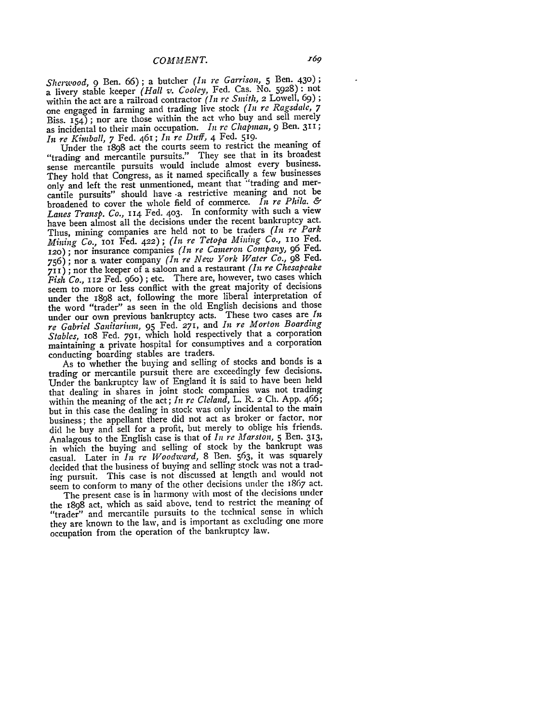*Sherwood,* 9 Ben. 66); a butcher *(In re Garrison,* **5** Ben. 430); a livery stable keeper *(Hall v. Cooley,* Fed. Cas. No. 5928): not within the act are a railroad contractor *(In re Smith,* 2 Lowell, 69) **;** one engaged in farming and trading live stock *(In re Ragsdale, 7* Biss. 154); nor are those within the act who buy and sell merely as incidental to their main occupation. *In re Chapman, 9* Ben. **311;** *In re Kimball,* 7 Fed. 461; *In re Duff,* 4 Fed. **519.**

Under the 1898 act the courts seem to restrict the meaning of "trading and mercantile pursuits." They see that in its broadest sense mercantile pursuits would include almost every business. They hold that Congress, as it named specifically a few businesses only and left the rest unmentioned, meant that "trading and mercantile pursuits" should have -a restrictive meaning and not be broadened to cover the whole field of commerce. *In re Phila. & Lanes Transp. Co.,* 114 Fed. **403.** In conformity with such a view have been almost all the decisions under the recent bankruptcy act. Thus, mining companies are held not to be traders *(In re Park Mining Co.,* ioi Fed. 422); *(In re Tetopa Mining Co.,* 110 Fed. 120) **;** nor insurance companies *(In re Cameron Company,* 96 Fed. 756) ; nor a water company *(In re New York Water Co.,* 98 Fed. **711)** ; nor the keeper of a saloon and a restaurant *(In re Chesapeake Fish Co., 112 Fed. 960*); etc. There are, however, two cases which seem to more or less conflict with the great majority of decisions under the 1898 act, following the more liberal interpretation of the word "trader" as seen in the old English decisions and those under our own previous bankruptcy acts. These two cases are *fi re Gabriel Sanitarium,* 95 Fed. **271,** and *In re Morton Boarding Stables,* io8 Fed. **791,** which hold respectively that a corporation maintaining a private hospital for consumptives and a corporation conducting boarding stables are traders.

As to whether the buying and selling of stocks and bonds is a trading or mercantile pursuit there are exceedingly few decisions. Under the bankruptcy law of England it is said to have been held that dealing in shares in joint stock companies was not trading within the meaning of the act; *In re Cleland*, L. R. 2 Ch. App. 466 but in this case the dealing in stock was only incidental to the main business; the appellant there did not act as broker or factor, nor did he buy and sell for a profit, but merely to oblige his friends. Analagous to the English case is that of *In re Marston, 5* Ben. 313, in which the buying and selling of stock **by** the bankrupt was casual. Later in *In re Woodward,* 8 Ben. 563, it was squarely decided that the business of buying and selling stock was not a trading pursuit. This case is not discussed at length and would not seem to conform to many of the other decisions under the 1867 act.

The present case is in harmony with most of the decisions under the 1898 act, which as said above, tend to restrict the meaning of "trader" and mercantile pursuits to the technical sense in which they are known to the law, and is important as excluding one more occupation from the operation of the bankruptcy law.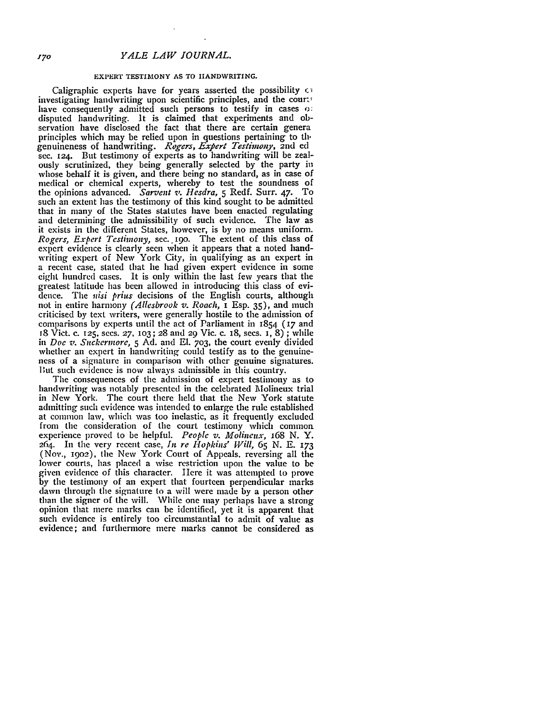*YALE LAW JOURNAL.*

### EXPERT **TESTIMONY AS** TO HANDWRITING.

Caligraphic experts have for years asserted the possibility c investigating handwriting upon scientific principles, and the court: have consequently admitted such persons to testify in cases of disputed handwriting. It is claimed that experiments and observation have disclosed the fact that there are certain genera principles which may be relied upon in questions pertaining to th. genuineness of handwriting. *Rogers, Expert Testimony,* 2nd **ed** sec. 124. But testimony of experts as to handwriting will be zealously scrutinized, they being generally selected by the party in whose behalf it is given, and there being no standard, as in case of medical or chemical experts, whereby to test the soundness of the opinions advanced. Sarvent v. Hesdra, 5 Redf. Surr. 47. To such an extent has the testimony of this kind sought to be admitted that in many of the States statutes have been enacted regulating and determining the admissibility of such evidence. The law as it exists in the different States, however, is by no means uniform. *Rogers, Expert Testimony, sec.* 190. The extent of this class of expert evidence is clearly seen when it appears that a noted handwriting expert of New York City, in qualifying as an expert in a recent case, stated that lie had given expert evidence in some eight hundred cases. It is only within the last few years that the greatest latitude has been allowed in introducing this class of evidence. The *nisi prius* decisions of the English courts, although not in entire harmony *(Allesbrook v. Roach,* **I** Esp. **35),** and much criticised **by** text writers, were generally hostile to the admission of comparisons **by** experts until the act of Parliament in 1854 **(17** and *i8* Vict. **c. 125. seCs. 27, 103;** *28* and 29 Vic. **c.** 18, secs. **1,** 8) ; while in *Doe v. Suckermore,* **5 Ad.** and **El. 703,** the court evenly divided whether an expert in handwriting could testify as to the genuineness of a signature in comparison with other genuine signatures. But such evidence is now always admissible in this country.

The consequences of the admission of expert testimony as to handwriting was notably presented in the celebrated Molineux trial in New York. The court there held that the New York statute admitting such evidence was intended to enlarge the rule established at common law, which was too inelastic, as it frequently excluded from the consideration of the court testimony which common experience proved to be helpful. *People v. Molineux,* i68 **N.** Y. 264. In the very recent case, *In re Hopkins' Will, 65* **N. E. 173** (Nov., 19o2), the New York Court of Appeals. reversing all the lower courts, has placed a wise restriction upon the value to be given evidence of this character. Here it was attempted to prove **by** the testimony of aii expert that fourteen perpendicular marks dawn through the signature to a will were made **by** a person other than the signer of the will. While one may perhaps have a strong opinion that mere marks can be identified, yet it is apparent that such evidence is entirely too circumstantial to admit of value as evidence; and furthermore mere marks cannot be considered as

170